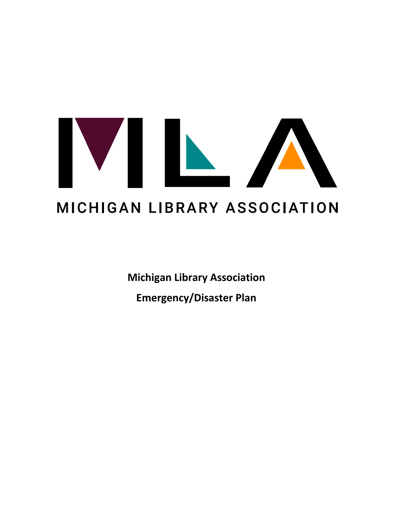# VIN MICHIGAN LIBRARY ASSOCIATION

**Michigan Library Association Emergency/Disaster Plan**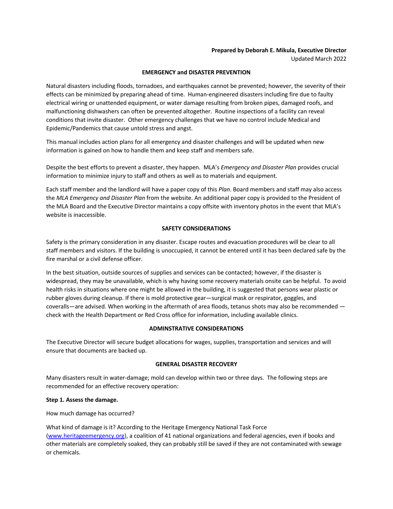# **Prepared by Deborah E. Mikula, Executive Director**

Updated March 2022

# **EMERGENCY and DISASTER PREVENTION**

Natural disasters including floods, tornadoes, and earthquakes cannot be prevented; however, the severity of their effects can be minimized by preparing ahead of time. Human-engineered disasters including fire due to faulty electrical wiring or unattended equipment, or water damage resulting from broken pipes, damaged roofs, and malfunctioning dishwashers can often be prevented altogether. Routine inspections of a facility can reveal conditions that invite disaster. Other emergency challenges that we have no control include Medical and Epidemic/Pandemics that cause untold stress and angst.

This manual includes action plans for all emergency and disaster challenges and will be updated when new information is gained on how to handle them and keep staff and members safe.

Despite the best efforts to prevent a disaster, they happen. MLA's *Emergency and Disaster Plan* provides crucial information to minimize injury to staff and others as well as to materials and equipment.

Each staff member and the landlord will have a paper copy of this *Plan*. Board members and staff may also access the *MLA Emergency and Disaster Plan* from the website. An additional paper copy is provided to the President of the MLA Board and the Executive Director maintains a copy offsite with inventory photos in the event that MLA's website is inaccessible.

# **SAFETY CONSIDERATIONS**

Safety is the primary consideration in any disaster. Escape routes and evacuation procedures will be clear to all staff members and visitors. If the building is unoccupied, it cannot be entered until it has been declared safe by the fire marshal or a civil defense officer.

In the best situation, outside sources of supplies and services can be contacted; however, if the disaster is widespread, they may be unavailable, which is why having some recovery materials onsite can be helpful. To avoid health risks in situations where one might be allowed in the building, it is suggested that persons wear plastic or rubber gloves during cleanup. If there is mold protective gear—surgical mask or respirator, goggles, and coveralls—are advised. When working in the aftermath of area floods, tetanus shots may also be recommended check with the Health Department or Red Cross office for information, including available clinics.

# **ADMINSTRATIVE CONSIDERATIONS**

The Executive Director will secure budget allocations for wages, supplies, transportation and services and will ensure that documents are backed up.

# **GENERAL DISASTER RECOVERY**

Many disasters result in water-damage; mold can develop within two or three days. The following steps are recommended for an effective recovery operation:

# **Step 1. Assess the damage.**

How much damage has occurred?

What kind of damage is it? According to the Heritage Emergency National Task Force (www.heritageemergency.org), a coalition of 41 national organizations and federal agencies, even if books and other materials are completely soaked, they can probably still be saved if they are not contaminated with sewage or chemicals.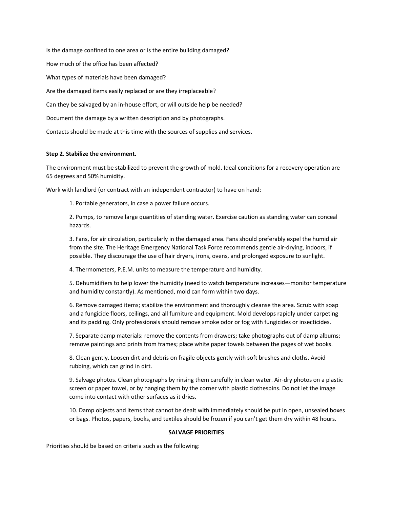Is the damage confined to one area or is the entire building damaged? How much of the office has been affected? What types of materials have been damaged? Are the damaged items easily replaced or are they irreplaceable? Can they be salvaged by an in-house effort, or will outside help be needed? Document the damage by a written description and by photographs.

Contacts should be made at this time with the sources of supplies and services.

# **Step 2. Stabilize the environment.**

The environment must be stabilized to prevent the growth of mold. Ideal conditions for a recovery operation are 65 degrees and 50% humidity.

Work with landlord (or contract with an independent contractor) to have on hand:

1. Portable generators, in case a power failure occurs.

2. Pumps, to remove large quantities of standing water. Exercise caution as standing water can conceal hazards.

3. Fans, for air circulation, particularly in the damaged area. Fans should preferably expel the humid air from the site. The Heritage Emergency National Task Force recommends gentle air-drying, indoors, if possible. They discourage the use of hair dryers, irons, ovens, and prolonged exposure to sunlight.

4. Thermometers, P.E.M. units to measure the temperature and humidity.

5. Dehumidifiers to help lower the humidity (need to watch temperature increases—monitor temperature and humidity constantly). As mentioned, mold can form within two days.

6. Remove damaged items; stabilize the environment and thoroughly cleanse the area. Scrub with soap and a fungicide floors, ceilings, and all furniture and equipment. Mold develops rapidly under carpeting and its padding. Only professionals should remove smoke odor or fog with fungicides or insecticides.

7. Separate damp materials: remove the contents from drawers; take photographs out of damp albums; remove paintings and prints from frames; place white paper towels between the pages of wet books.

8. Clean gently. Loosen dirt and debris on fragile objects gently with soft brushes and cloths. Avoid rubbing, which can grind in dirt.

9. Salvage photos. Clean photographs by rinsing them carefully in clean water. Air-dry photos on a plastic screen or paper towel, or by hanging them by the corner with plastic clothespins. Do not let the image come into contact with other surfaces as it dries.

10. Damp objects and items that cannot be dealt with immediately should be put in open, unsealed boxes or bags. Photos, papers, books, and textiles should be frozen if you can't get them dry within 48 hours.

### **SALVAGE PRIORITIES**

Priorities should be based on criteria such as the following: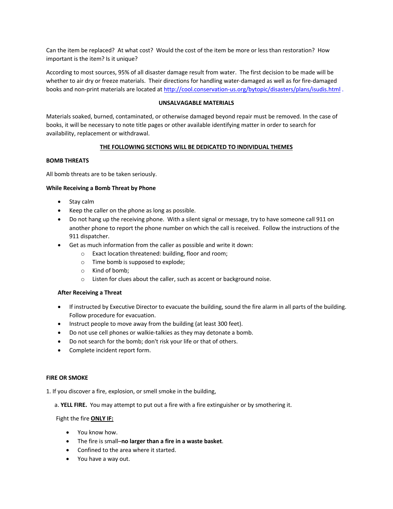Can the item be replaced? At what cost? Would the cost of the item be more or less than restoration? How important is the item? Is it unique?

According to most sources, 95% of all disaster damage result from water. The first decision to be made will be whether to air dry or freeze materials. Their directions for handling water-damaged as well as for fire-damaged books and non-print materials are located at http://cool.conservation-us.org/bytopic/disasters/plans/isudis.html .

# **UNSALVAGABLE MATERIALS**

Materials soaked, burned, contaminated, or otherwise damaged beyond repair must be removed. In the case of books, it will be necessary to note title pages or other available identifying matter in order to search for availability, replacement or withdrawal.

# **THE FOLLOWING SECTIONS WILL BE DEDICATED TO INDIVIDUAL THEMES**

# **BOMB THREATS**

All bomb threats are to be taken seriously.

# **While Receiving a Bomb Threat by Phone**

- Stay calm
- Keep the caller on the phone as long as possible.
- Do not hang up the receiving phone. With a silent signal or message, try to have someone call 911 on another phone to report the phone number on which the call is received. Follow the instructions of the 911 dispatcher.
- Get as much information from the caller as possible and write it down:
	- o Exact location threatened: building, floor and room;
	- o Time bomb is supposed to explode;
	- o Kind of bomb;
	- o Listen for clues about the caller, such as accent or background noise.

### **After Receiving a Threat**

- If instructed by Executive Director to evacuate the building, sound the fire alarm in all parts of the building. Follow procedure for evacuation.
- Instruct people to move away from the building (at least 300 feet).
- Do not use cell phones or walkie-talkies as they may detonate a bomb.
- Do not search for the bomb; don't risk your life or that of others.
- Complete incident report form.

### **FIRE OR SMOKE**

1. If you discover a fire, explosion, or smell smoke in the building,

a. **YELL FIRE.** You may attempt to put out a fire with a fire extinguisher or by smothering it.

### Fight the fire **ONLY IF:**

- You know how.
- The fire is small–**no larger than a fire in a waste basket**.
- Confined to the area where it started.
- You have a way out.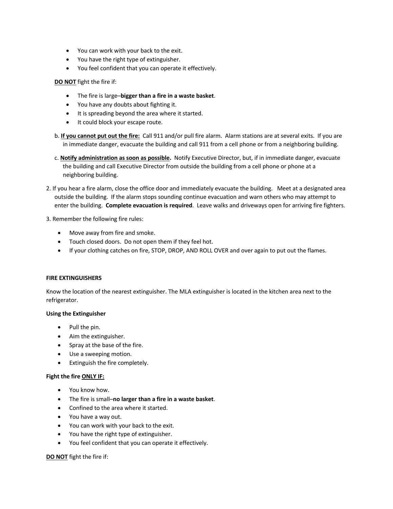- You can work with your back to the exit.
- You have the right type of extinguisher.
- You feel confident that you can operate it effectively.

# **DO NOT** fight the fire if:

- The fire is large–**bigger than a fire in a waste basket**.
- You have any doubts about fighting it.
- It is spreading beyond the area where it started.
- It could block your escape route.
- b. **If you cannot put out the fire:** Call 911 and/or pull fire alarm. Alarm stations are at several exits. If you are in immediate danger, evacuate the building and call 911 from a cell phone or from a neighboring building.
- c. **Notify administration as soon as possible.** Notify Executive Director, but, if in immediate danger, evacuate the building and call Executive Director from outside the building from a cell phone or phone at a neighboring building.
- 2. If you hear a fire alarm, close the office door and immediately evacuate the building. Meet at a designated area outside the building. If the alarm stops sounding continue evacuation and warn others who may attempt to enter the building. **Complete evacuation is required**. Leave walks and driveways open for arriving fire fighters.

3. Remember the following fire rules:

- Move away from fire and smoke.
- Touch closed doors. Do not open them if they feel hot.
- If your clothing catches on fire, STOP, DROP, AND ROLL OVER and over again to put out the flames.

# **FIRE EXTINGUISHERS**

Know the location of the nearest extinguisher. The MLA extinguisher is located in the kitchen area next to the refrigerator.

# **Using the Extinguisher**

- Pull the pin.
- Aim the extinguisher.
- Spray at the base of the fire.
- Use a sweeping motion.
- Extinguish the fire completely.

# **Fight the fire ONLY IF:**

- You know how.
- The fire is small–**no larger than a fire in a waste basket**.
- Confined to the area where it started.
- You have a way out.
- You can work with your back to the exit.
- You have the right type of extinguisher.
- You feel confident that you can operate it effectively.

# **DO NOT** fight the fire if: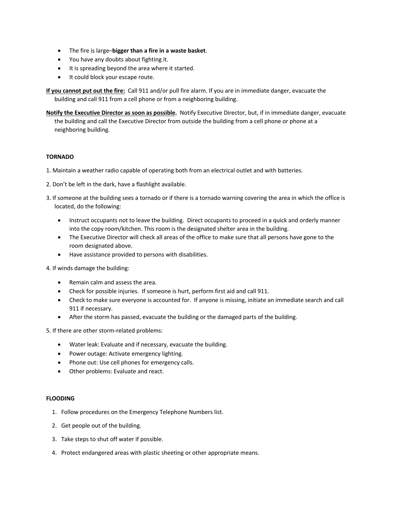- The fire is large–**bigger than a fire in a waste basket**.
- You have any doubts about fighting it.
- It is spreading beyond the area where it started.
- It could block your escape route.

**If you cannot put out the fire:** Call 911 and/or pull fire alarm. If you are in immediate danger, evacuate the building and call 911 from a cell phone or from a neighboring building.

**Notify the Executive Director as soon as possible.** Notify Executive Director, but, if in immediate danger, evacuate the building and call the Executive Director from outside the building from a cell phone or phone at a neighboring building.

# **TORNADO**

- 1. Maintain a weather radio capable of operating both from an electrical outlet and with batteries.
- 2. Don't be left in the dark, have a flashlight available.
- 3. If someone at the building sees a tornado or if there is a tornado warning covering the area in which the office is located, do the following:
	- Instruct occupants not to leave the building. Direct occupants to proceed in a quick and orderly manner into the copy room/kitchen. This room is the designated shelter area in the building.
	- The Executive Director will check all areas of the office to make sure that all persons have gone to the room designated above.
	- Have assistance provided to persons with disabilities.

4. If winds damage the building:

- Remain calm and assess the area.
- Check for possible injuries. If someone is hurt, perform first aid and call 911.
- Check to make sure everyone is accounted for. If anyone is missing, initiate an immediate search and call 911 if necessary.
- After the storm has passed, evacuate the building or the damaged parts of the building.

5. If there are other storm-related problems:

- Water leak: Evaluate and if necessary, evacuate the building.
- Power outage: Activate emergency lighting.
- Phone out: Use cell phones for emergency calls.
- Other problems: Evaluate and react.

### **FLOODING**

- 1. Follow procedures on the Emergency Telephone Numbers list.
- 2. Get people out of the building.
- 3. Take steps to shut off water if possible.
- 4. Protect endangered areas with plastic sheeting or other appropriate means.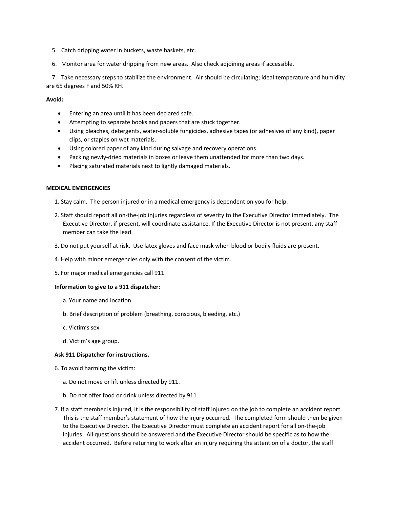- 5. Catch dripping water in buckets, waste baskets, etc.
- 6. Monitor area for water dripping from new areas. Also check adjoining areas if accessible.

7. Take necessary steps to stabilize the environment. Air should be circulating; ideal temperature and humidity are 65 degrees F and 50% RH.

**Avoid:** 

- Entering an area until it has been declared safe.
- Attempting to separate books and papers that are stuck together.
- Using bleaches, detergents, water-soluble fungicides, adhesive tapes (or adhesives of any kind), paper clips, or staples on wet materials.
- Using colored paper of any kind during salvage and recovery operations.
- Packing newly-dried materials in boxes or leave them unattended for more than two days.
- Placing saturated materials next to lightly damaged materials.

### **MEDICAL EMERGENCIES**

- 1. Stay calm. The person injured or in a medical emergency is dependent on you for help.
- 2. Staff should report all on-the-job injuries regardless of severity to the Executive Director immediately. The Executive Director, if present, will coordinate assistance. If the Executive Director is not present, any staff member can take the lead.
- 3. Do not put yourself at risk. Use latex gloves and face mask when blood or bodily fluids are present.
- 4. Help with minor emergencies only with the consent of the victim.
- 5. For major medical emergencies call 911

### **Information to give to a 911 dispatcher:**

- a. Your name and location
- b. Brief description of problem (breathing, conscious, bleeding, etc.)
- c. Victim's sex
- d. Victim's age group.

### **Ask 911 Dispatcher for instructions.**

- 6. To avoid harming the victim:
	- a. Do not move or lift unless directed by 911.
	- b. Do not offer food or drink unless directed by 911.
- 7. If a staff member is injured, it is the responsibility of staff injured on the job to complete an accident report. This is the staff member's statement of how the injury occurred. The completed form should then be given to the Executive Director. The Executive Director must complete an accident report for all on-the-job injuries. All questions should be answered and the Executive Director should be specific as to how the accident occurred. Before returning to work after an injury requiring the attention of a doctor, the staff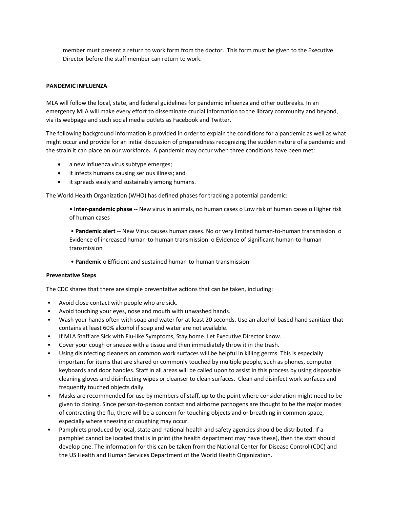member must present a return to work form from the doctor. This form must be given to the Executive Director before the staff member can return to work.

# **PANDEMIC INFLUENZA**

MLA will follow the local, state, and federal guidelines for pandemic influenza and other outbreaks. In an emergency MLA will make every effort to disseminate crucial information to the library community and beyond, via its webpage and such social media outlets as Facebook and Twitter.

The following background information is provided in order to explain the conditions for a pandemic as well as what might occur and provide for an initial discussion of preparedness recognizing the sudden nature of a pandemic and the strain it can place on our workforce**.** A pandemic may occur when three conditions have been met:

- a new influenza virus subtype emerges;
- it infects humans causing serious illness; and
- it spreads easily and sustainably among humans.

The World Health Organization (WHO) has defined phases for tracking a potential pandemic:

• **Inter-pandemic phase** -- New virus in animals, no human cases o Low risk of human cases o Higher risk of human cases

• **Pandemic alert** -- New Virus causes human cases. No or very limited human-to-human transmission o Evidence of increased human-to-human transmission o Evidence of significant human-to-human transmission

• **Pandemic** o Efficient and sustained human-to-human transmission

### **Preventative Steps**

The CDC shares that there are simple preventative actions that can be taken, including:

- Avoid close contact with people who are sick.
- Avoid touching your eyes, nose and mouth with unwashed hands.
- Wash your hands often with soap and water for at least 20 seconds. Use an alcohol-based hand sanitizer that contains at least 60% alcohol if soap and water are not available.
- If MLA Staff are Sick with Flu-like Symptoms, Stay home. Let Executive Director know.
- Cover your cough or sneeze with a tissue and then immediately throw it in the trash.
- Using disinfecting cleaners on common work surfaces will be helpful in killing germs. This is especially important for items that are shared or commonly touched by multiple people, such as phones, computer keyboards and door handles. Staff in all areas will be called upon to assist in this process by using disposable cleaning gloves and disinfecting wipes or cleanser to clean surfaces. Clean and disinfect work surfaces and frequently touched objects daily.
- Masks are recommended for use by members of staff, up to the point where consideration might need to be given to closing. Since person-to-person contact and airborne pathogens are thought to be the major modes of contracting the flu, there will be a concern for touching objects and or breathing in common space, especially where sneezing or coughing may occur.
- Pamphlets produced by local, state and national health and safety agencies should be distributed. If a pamphlet cannot be located that is in print (the health department may have these), then the staff should develop one. The information for this can be taken from the National Center for Disease Control (CDC) and the US Health and Human Services Department of the World Health Organization.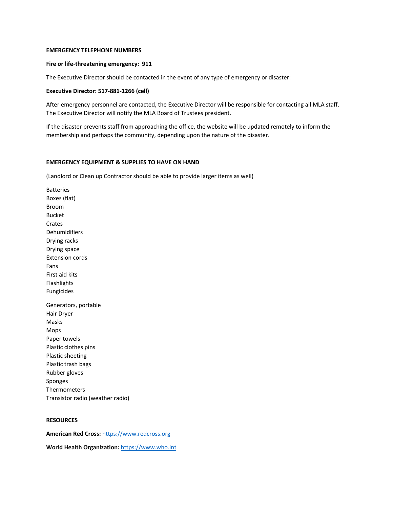### **EMERGENCY TELEPHONE NUMBERS**

### **Fire or life-threatening emergency: 911**

The Executive Director should be contacted in the event of any type of emergency or disaster:

### **Executive Director: 517-881-1266 (cell)**

After emergency personnel are contacted, the Executive Director will be responsible for contacting all MLA staff. The Executive Director will notify the MLA Board of Trustees president.

If the disaster prevents staff from approaching the office, the website will be updated remotely to inform the membership and perhaps the community, depending upon the nature of the disaster.

### **EMERGENCY EQUIPMENT & SUPPLIES TO HAVE ON HAND**

(Landlord or Clean up Contractor should be able to provide larger items as well)

Batteries Boxes (flat) Broom Bucket Crates Dehumidifiers Drying racks Drying space Extension cords Fans First aid kits Flashlights Fungicides Generators, portable Hair Dryer Masks Mops Paper towels Plastic clothes pins Plastic sheeting Plastic trash bags Rubber gloves Sponges Thermometers Transistor radio (weather radio)

# **RESOURCES**

**American Red Cross:** https://www.redcross.org

**World Health Organization:** https://www.who.int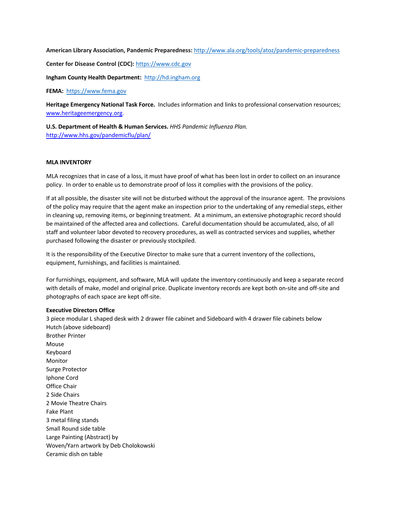**American Library Association, Pandemic Preparedness:** http://www.ala.org/tools/atoz/pandemic-preparedness

**Center for Disease Control (CDC):** https://www.cdc.gov

**Ingham County Health Department:** http://hd.ingham.org

**FEMA:** https://www.fema.gov

**Heritage Emergency National Task Force.** Includes information and links to professional conservation resources; www.heritageemergency.org.

**U.S. Department of Health & Human Services.** *HHS Pandemic Influenza Plan.* http://www.hhs.gov/pandemicflu/plan/

# **MLA INVENTORY**

MLA recognizes that in case of a loss, it must have proof of what has been lost in order to collect on an insurance policy. In order to enable us to demonstrate proof of loss it complies with the provisions of the policy.

If at all possible, the disaster site will not be disturbed without the approval of the insurance agent. The provisions of the policy may require that the agent make an inspection prior to the undertaking of any remedial steps, either in cleaning up, removing items, or beginning treatment. At a minimum, an extensive photographic record should be maintained of the affected area and collections. Careful documentation should be accumulated, also, of all staff and volunteer labor devoted to recovery procedures, as well as contracted services and supplies, whether purchased following the disaster or previously stockpiled.

It is the responsibility of the Executive Director to make sure that a current inventory of the collections, equipment, furnishings, and facilities is maintained.

For furnishings, equipment, and software, MLA will update the inventory continuously and keep a separate record with details of make, model and original price. Duplicate inventory records are kept both on-site and off-site and photographs of each space are kept off-site.

### **Executive Directors Office**

3 piece modular L shaped desk with 2 drawer file cabinet and Sideboard with 4 drawer file cabinets below Hutch (above sideboard) Brother Printer Mouse Keyboard Monitor Surge Protector Iphone Cord Office Chair 2 Side Chairs 2 Movie Theatre Chairs Fake Plant 3 metal filing stands Small Round side table Large Painting (Abstract) by Woven/Yarn artwork by Deb Cholokowski Ceramic dish on table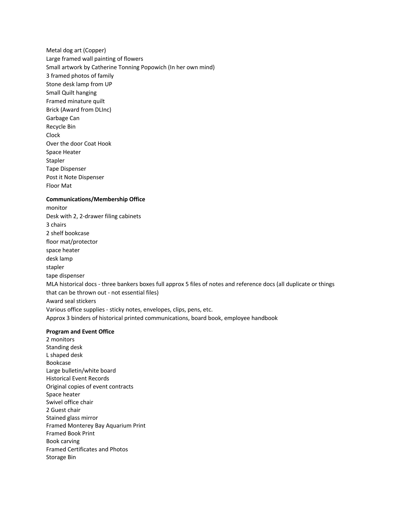Metal dog art (Copper) Large framed wall painting of flowers Small artwork by Catherine Tonning Popowich (In her own mind) 3 framed photos of family Stone desk lamp from UP Small Quilt hanging Framed minature quilt Brick (Award from DLInc) Garbage Can Recycle Bin Clock Over the door Coat Hook Space Heater Stapler Tape Dispenser Post it Note Dispenser Floor Mat

### **Communications/Membership Office**

monitor Desk with 2, 2-drawer filing cabinets 3 chairs 2 shelf bookcase floor mat/protector space heater desk lamp stapler tape dispenser MLA historical docs - three bankers boxes full approx 5 files of notes and reference docs (all duplicate or things that can be thrown out - not essential files) Award seal stickers Various office supplies - sticky notes, envelopes, clips, pens, etc. Approx 3 binders of historical printed communications, board book, employee handbook

### **Program and Event Office**

2 monitors Standing desk L shaped desk Bookcase Large bulletin/white board Historical Event Records Original copies of event contracts Space heater Swivel office chair 2 Guest chair Stained glass mirror Framed Monterey Bay Aquarium Print Framed Book Print Book carving Framed Certificates and Photos Storage Bin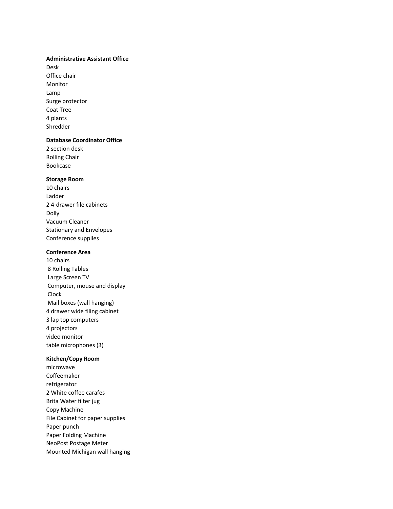### **Administrative Assistant Office**

Desk Office chair Monitor Lamp Surge protector Coat Tree 4 plants Shredder

### **Database Coordinator Office**

2 section desk Rolling Chair Bookcase

# **Storage Room**

10 chairs Ladder 2 4-drawer file cabinets Dolly Vacuum Cleaner Stationary and Envelopes Conference supplies

# **Conference Area**

10 chairs 8 Rolling Tables Large Screen TV Computer, mouse and display Clock Mail boxes (wall hanging) 4 drawer wide filing cabinet 3 lap top computers 4 projectors video monitor table microphones (3)

### **Kitchen/Copy Room**

microwave Coffeemaker refrigerator 2 White coffee carafes Brita Water filter jug Copy Machine File Cabinet for paper supplies Paper punch Paper Folding Machine NeoPost Postage Meter Mounted Michigan wall hanging